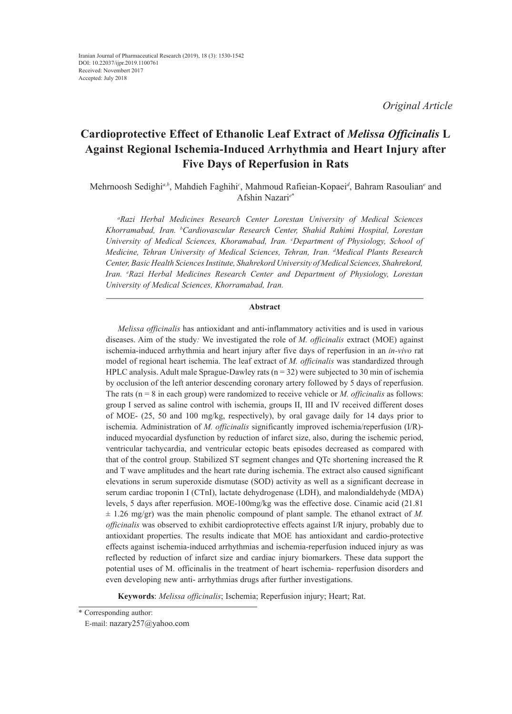*Original Article*

# **Cardioprotective Effect of Ethanolic Leaf Extract of** *Melissa Officinalis* **L Against Regional Ischemia-Induced Arrhythmia and Heart Injury after Five Days of Reperfusion in Rats**

Mehrnoosh Sedighi<sup>a,b</sup>, Mahdieh Faghihi<sup>c</sup>, Mahmoud Rafieian-Kopaei<sup>d</sup>, Bahram Rasoulian<sup>e</sup> and Afshin Nazari*<sup>e</sup>*\*

*a Razi Herbal Medicines Research Center Lorestan University of Medical Sciences Khorramabad, Iran. b Cardiovascular Research Center, Shahid Rahimi Hospital, Lorestan University of Medical Sciences, Khoramabad, Iran. c Department of Physiology, School of Medicine, Tehran University of Medical Sciences, Tehran, Iran. d Medical Plants Research Center, Basic Health Sciences Institute, Shahrekord University of Medical Sciences, Shahrekord, Iran. e Razi Herbal Medicines Research Center and Department of Physiology, Lorestan University of Medical Sciences, Khorramabad, Iran.* 

#### **Abstract**

*Melissa officinalis* has antioxidant and anti-inflammatory activities and is used in various diseases. Aim of the study*:* We investigated the role of *M. officinalis* extract (MOE) against ischemia-induced arrhythmia and heart injury after five days of reperfusion in an *in-vivo* rat model of regional heart ischemia. The leaf extract of *M. officinalis* was standardized through HPLC analysis. Adult male Sprague-Dawley rats  $(n = 32)$  were subjected to 30 min of ischemia by occlusion of the left anterior descending coronary artery followed by 5 days of reperfusion. The rats (n = 8 in each group) were randomized to receive vehicle or *M. officinalis* as follows: group I served as saline control with ischemia, groups II, III and IV received different doses of MOE- (25, 50 and 100 mg/kg, respectively), by oral gavage daily for 14 days prior to ischemia. Administration of *M. officinalis* significantly improved ischemia/reperfusion (I/R) induced myocardial dysfunction by reduction of infarct size, also, during the ischemic period, ventricular tachycardia, and ventricular ectopic beats episodes decreased as compared with that of the control group. Stabilized ST segment changes and QTc shortening increased the R and T wave amplitudes and the heart rate during ischemia. The extract also caused significant elevations in serum superoxide dismutase (SOD) activity as well as a significant decrease in serum cardiac troponin I (CTnI), lactate dehydrogenase (LDH), and malondialdehyde (MDA) levels, 5 days after reperfusion. MOE-100mg/kg was the effective dose. Cinamic acid (21.81  $\pm$  1.26 mg/gr) was the main phenolic compound of plant sample. The ethanol extract of M. *officinalis* was observed to exhibit cardioprotective effects against I/R injury, probably due to antioxidant properties. The results indicate that MOE has antioxidant and cardio-protective effects against ischemia-induced arrhythmias and ischemia-reperfusion induced injury as was reflected by reduction of infarct size and cardiac injury biomarkers. These data support the potential uses of M. officinalis in the treatment of heart ischemia- reperfusion disorders and even developing new anti- arrhythmias drugs after further investigations.

**Keywords**: *Melissa officinalis*; Ischemia; Reperfusion injury; Heart; Rat.

<sup>\*</sup> Corresponding author:

E-mail: nazary257@yahoo.com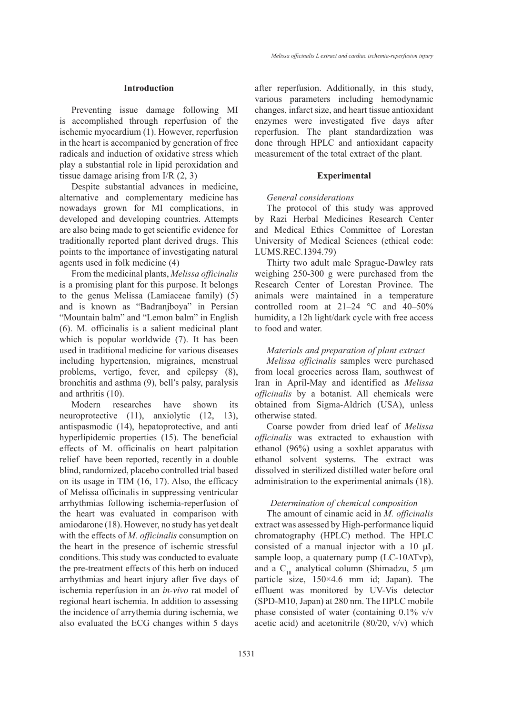## **Introduction**

Preventing issue damage following MI is accomplished through reperfusion of the ischemic myocardium (1). However, reperfusion in the heart is accompanied by generation of free radicals and induction of oxidative stress which play a substantial role in lipid peroxidation and tissue damage arising from I/R (2, 3)

Despite substantial advances in medicine, alternative and complementary medicine has nowadays grown for MI complications, in developed and developing countries. Attempts are also being made to get scientific evidence for traditionally reported plant derived drugs. This points to the importance of investigating natural agents used in folk medicine (4)

From the medicinal plants, *Melissa officinalis* is a promising plant for this purpose. It belongs to the genus Melissa (Lamiaceae family) (5) and is known as "Badranjboya" in Persian "Mountain balm" and "Lemon balm" in English (6). M. officinalis is a salient medicinal plant which is popular worldwide (7). It has been used in traditional medicine for various diseases including hypertension, migraines, menstrual problems, vertigo, fever, and epilepsy (8), bronchitis and asthma (9), bell′s palsy, paralysis and arthritis (10).

Modern researches have shown its neuroprotective (11), anxiolytic (12, 13), antispasmodic (14), hepatoprotective, and anti hyperlipidemic properties (15). The beneficial effects of M. officinalis on heart palpitation relief have been reported, recently in a double blind, randomized, placebo controlled trial based on its usage in TIM (16, 17). Also, the efficacy of Melissa officinalis in suppressing ventricular arrhythmias following ischemia-reperfusion of the heart was evaluated in comparison with amiodarone (18). However, no study has yet dealt with the effects of *M. officinalis* consumption on the heart in the presence of ischemic stressful conditions. This study was conducted to evaluate the pre-treatment effects of this herb on induced arrhythmias and heart injury after five days of ischemia reperfusion in an *in-vivo* rat model of regional heart ischemia. In addition to assessing the incidence of arrythemia during ischemia, we also evaluated the ECG changes within 5 days after reperfusion. Additionally, in this study, various parameters including hemodynamic changes, infarct size, and heart tissue antioxidant enzymes were investigated five days after reperfusion. The plant standardization was done through HPLC and antioxidant capacity measurement of the total extract of the plant.

#### **Experimental**

#### *General considerations*

The protocol of this study was approved by Razi Herbal Medicines Research Center and Medical Ethics Committee of Lorestan University of Medical Sciences (ethical code: LUMS.REC.1394.79)

Thirty two adult male Sprague-Dawley rats weighing 250-300 g were purchased from the Research Center of Lorestan Province. The animals were maintained in a temperature controlled room at  $21-24$  °C and  $40-50\%$ humidity, a 12h light/dark cycle with free access to food and water.

## *Materials and preparation of plant extract*

*Melissa officinalis* samples were purchased from local groceries across Ilam, southwest of Iran in April-May and identified as *Melissa officinalis* by a botanist. All chemicals were obtained from Sigma-Aldrich (USA), unless otherwise stated.

Coarse powder from dried leaf of *Melissa officinalis* was extracted to exhaustion with ethanol (96%) using a soxhlet apparatus with ethanol solvent systems. The extract was dissolved in sterilized distilled water before oral administration to the experimental animals (18).

## *Determination of chemical composition*

The amount of cinamic acid in *M. officinalis* extract was assessed by High-performance liquid chromatography (HPLC) method. The HPLC consisted of a manual injector with a 10 μL sample loop, a quaternary pump (LC-10ATvp), and a C<sub>18</sub> analytical column (Shimadzu, 5  $\mu$ m particle size, 150×4.6 mm id; Japan). The effluent was monitored by UV-Vis detector (SPD-M10, Japan) at 280 nm. The HPLC mobile phase consisted of water (containing 0.1% v/v acetic acid) and acetonitrile (80/20, v/v) which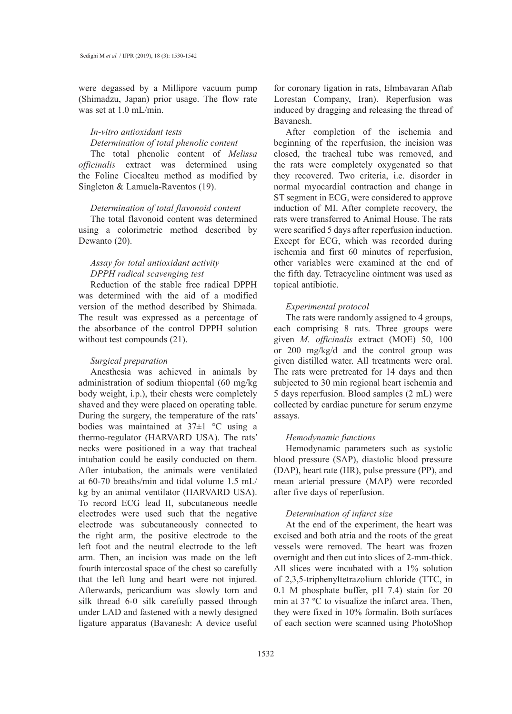were degassed by a Millipore vacuum pump (Shimadzu, Japan) prior usage. The flow rate was set at 1.0 mL/min.

# *In-vitro antioxidant tests*

# *Determination of total phenolic content*

The total phenolic content of *Melissa officinalis* extract was determined using the Foline Ciocalteu method as modified by Singleton & Lamuela-Raventos (19).

## *Determination of total flavonoid content*

The total flavonoid content was determined using a colorimetric method described by Dewanto  $(20)$ .

# *Assay for total antioxidant activity DPPH radical scavenging test*

Reduction of the stable free radical DPPH was determined with the aid of a modified version of the method described by Shimada. The result was expressed as a percentage of the absorbance of the control DPPH solution without test compounds (21).

## *Surgical preparation*

Anesthesia was achieved in animals by administration of sodium thiopental (60 mg/kg body weight, i.p.), their chests were completely shaved and they were placed on operating table. During the surgery, the temperature of the rats′ bodies was maintained at  $37\pm1$  °C using a thermo-regulator (HARVARD USA). The rats′ necks were positioned in a way that tracheal intubation could be easily conducted on them. After intubation, the animals were ventilated at 60-70 breaths/min and tidal volume 1.5 mL/ kg by an animal ventilator (HARVARD USA). To record ECG lead II, subcutaneous needle electrodes were used such that the negative electrode was subcutaneously connected to the right arm, the positive electrode to the left foot and the neutral electrode to the left arm. Then, an incision was made on the left fourth intercostal space of the chest so carefully that the left lung and heart were not injured. Afterwards, pericardium was slowly torn and silk thread 6-0 silk carefully passed through under LAD and fastened with a newly designed ligature apparatus (Bavanesh: A device useful

for coronary ligation in rats, Elmbavaran Aftab Lorestan Company, Iran). Reperfusion was induced by dragging and releasing the thread of Bavanesh.

After completion of the ischemia and beginning of the reperfusion, the incision was closed, the tracheal tube was removed, and the rats were completely oxygenated so that they recovered. Two criteria, i.e. disorder in normal myocardial contraction and change in ST segment in ECG, were considered to approve induction of MI. After complete recovery, the rats were transferred to Animal House. The rats were scarified 5 days after reperfusion induction. Except for ECG, which was recorded during ischemia and first 60 minutes of reperfusion, other variables were examined at the end of the fifth day. Tetracycline ointment was used as topical antibiotic.

#### *Experimental protocol*

The rats were randomly assigned to 4 groups, each comprising 8 rats. Three groups were given *M. officinalis* extract (MOE) 50, 100 or 200 mg/kg/d and the control group was given distilled water. All treatments were oral. The rats were pretreated for 14 days and then subjected to 30 min regional heart ischemia and 5 days reperfusion. Blood samples (2 mL) were collected by cardiac puncture for serum enzyme assays.

## *Hemodynamic functions*

Hemodynamic parameters such as systolic blood pressure (SAP), diastolic blood pressure (DAP), heart rate (HR), pulse pressure (PP), and mean arterial pressure (MAP) were recorded after five days of reperfusion.

## *Determination of infarct size*

At the end of the experiment, the heart was excised and both atria and the roots of the great vessels were removed. The heart was frozen overnight and then cut into slices of 2-mm-thick. All slices were incubated with a 1% solution of 2,3,5-triphenyltetrazolium chloride (TTC, in 0.1 M phosphate buffer, pH 7.4) stain for 20 min at 37 ºC to visualize the infarct area. Then, they were fixed in 10% formalin. Both surfaces of each section were scanned using PhotoShop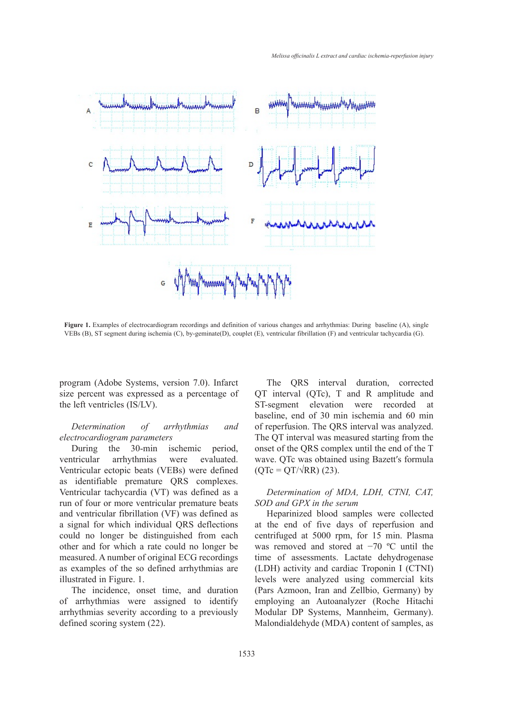

Figure 1. Examples of electrocardiogram recordings and definition of various changes and arrhythmias: During baseline (A), single VEBs (B), ST segment during ischemia (C), by-geminate(D), couplet (E), ventricular fibrillation (F) and ventricular tachycardia (G).

program (Adobe Systems, version 7.0). Infarct size percent was expressed as a percentage of the left ventricles (IS/LV).

## *Determination of arrhythmias and electrocardiogram parameters*

During the 30-min ischemic period, ventricular arrhythmias were evaluated. Ventricular ectopic beats (VEBs) were defined as identifiable premature QRS complexes. Ventricular tachycardia (VT) was defined as a *Determination of MDA, LDH, CTNI, C* run of four or more ventricular premature beats and ventricular fibrillation (VF) was defined as **Filal. Supervalue alleral** blood samples were collected a signal for which individual QRS deflections could no longer be distinguished from each other and for which a rate could no longer be was removed and sto measured. A number of original ECG recordings as examples of the so defined arrhythmias are illustrated in Figure. 1.

The incidence, onset time, and duration of arrhythmias were assigned to identify arrhythmias severity according to a previously defined scoring system (22).

The QRS interval duration, corrected percent was expressed as a percentage of  $QT$  interval  $(QTc)$ ,  $T$  and  $R$  amplitude and ST-segment elevation were recorded at centrifuged at 5000 rpm, for 1500 rpm, for 1500 rpm, for 150 min. Plasma was removed at 500 rpm, for 15 min. Plasma was removed at  $\frac{1}{2}$ Determination of arrhythmias and of reperfusion. The QRS interval was analyzed. The QT interval was measured starting from the During the  $\overrightarrow{30}$ -min ischemic period, onset of the QRS complex until the end of the T tricular arrhythmias were evaluated. wave QTc was obtained using Bazett's formula  $(QTe = QT/\sqrt{RR})$  (23).

## *Determination of MDA, LDH, CTNI, CAT, SOD and GPX in the serum*

Heparinized blood samples were collected gnal for which individual QRS deflections at the end of five days of reperfusion and centrifuged at 5000 rpm, for 15 min. Plasma was removed and stored at −70 ºC until the time of assessments. Lactate dehydrogenase (LDH) activity and cardiac Troponin I (CTNI) levels were analyzed using commercial kits (Pars Azmoon, Iran and Zellbio, Germany) by employing an Autoanalyzer (Roche Hitachi Modular DP Systems, Mannheim, Germany). Malondialdehyde (MDA) content of samples, as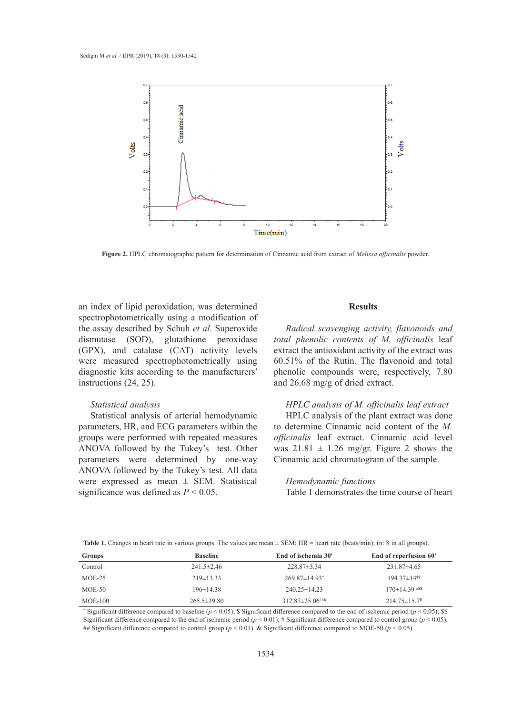

*Melissa officinalis* powder. **Figure 2.** HPLC chromatographic pattern for determination of Cinnamic acid from extract of *Melissa officinalis* powder.

an index of lipid peroxidation, was determined **Results** spectrophotometrically using a modification of the assay described by Schuh *et al*. Superoxide dismutase (SOD), glutathione peroxidase (GPX), and catalase (CAT) activity levels extrac were measured spectrophotometrically using diagnostic kits according to the manufacturers′ instructions (24, 25). *Radical scaling a modified of of and of activity, flavonoids and Radical scavenging activity, flavonoids and and and and and and and and and and and and and and and and and and and*

# *Statistical analysis*

Statistical analysis of arterial hemodynamic parameters, HR, and ECG parameters within the groups were performed with repeated measures ANOVA followed by the Tukey's test. Other parameters were determined by one-way ANOVA followed by the Tukey's test. All data were expressed as mean  $\pm$  SEM. Statistical significance was defined as  $P < 0.05$ .

## **Results**

(SOD), glutathione peroxidase *total phenolic contents of M. officinalis* leaf extract the antioxidant activity of the extract was ared spectrophotometrically using  $60.51\%$  of the Rutin. The flavonoid and total  $\overline{60.80}$ phenolic compounds were, respectively, 7.80  $(24, 25)$ . and  $26.68$  mg/g of dried extract.

# *HPLC analysis of M. officinalis leaf extract*

HPLC analysis of the plant extract was done to determine Cinnamic acid content of the *M.*  **Table 11.** Table 11. Partnersh with the two determines containing acid content of the *M*:<br> **Table 1**. Performed with repeated measures *officinalis* leaf extract. Cinnamic acid level was  $21.81 \pm 1.26$  mg/gr. Figure 2 shows the Cinnamic acid chromatogram of the sample.

#### *Hemodynamic functions*

Table 1 demonstrates the time course of heart

| Table 1. Changes in heart rate in various groups. The values are mean $\pm$ SEM; HR = heart rate (beats/min); (n: 8 in all groups). |  |  |
|-------------------------------------------------------------------------------------------------------------------------------------|--|--|
|-------------------------------------------------------------------------------------------------------------------------------------|--|--|

| Groups    | <b>Baseline</b>   | End of ischemia 30'             | End of reperfusion 60'         |
|-----------|-------------------|---------------------------------|--------------------------------|
| Control   | $241.5 \pm 2.46$  | $228.87 \pm 3.34$               | $231.87\pm4.65$                |
| $MOE-25$  | $219\pm 13.33$    | $269.87 \pm 14.93$ <sup>*</sup> | $194.37 \pm 14$ <sup>ss</sup>  |
| $MOE-50$  | $196\pm 14.38$    | $240.25 \pm 14.23$              | $170\pm14.39$ #\$\$            |
| $MOE-100$ | $265.5 \pm 39.80$ | $312.87 \pm 25.06^{\text{***}}$ | $214.75 \pm 15.7$ <sup>s</sup> |

\* Significant difference compared to baseline ( $p < 0.05$ ); \$ Significant difference compared to the end of ischemic period ( $p < 0.05$ ); \$\$ Significant difference compared to the end of ischemic period (*p* < 0.01); # Significant difference compared to control group (*p* < 0.05). ## Significant difference compared to control group (*p* < 0.01). & Significant difference compared to MOE-50 (*p* < 0.05).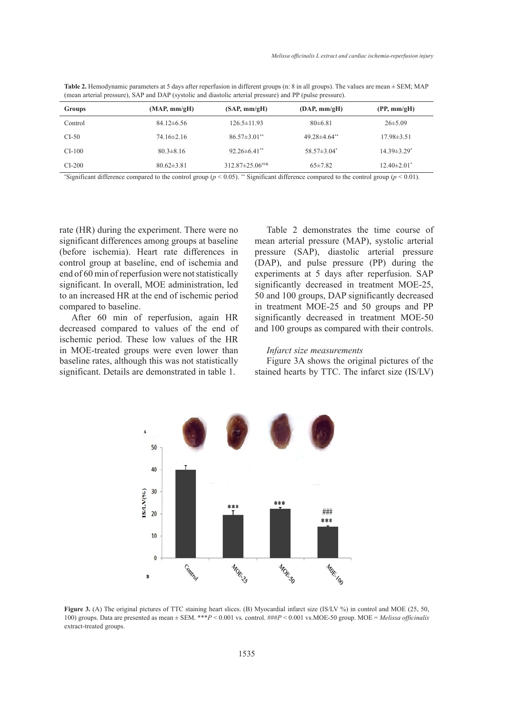| <b>Table 2.</b> Hemodynamic parameters at 5 days after reperfusion in different groups (n: 8 in all groups). The values are mean $\pm$ SEM; MAP |
|-------------------------------------------------------------------------------------------------------------------------------------------------|
| (mean arterial pressure), SAP and DAP (systolic and diastolic arterial pressure) and PP (pulse pressure).                                       |

| Groups   | (MAP, mm/gH)     | (SAP, mm/gH)                    | $(DAP, \text{mm/gH})$ | (PP, mm/gH)                   |
|----------|------------------|---------------------------------|-----------------------|-------------------------------|
| Control  | $84.12\pm 6.56$  | $126.5 \pm 11.93$               | $80\pm 6.81$          | $26\pm5.09$                   |
| $CI-50$  | $74.16\pm2.16$   | $86.57 \pm 3.01$ <sup>**</sup>  | $49.28\pm4.64**$      | $17.98 \pm 3.51$              |
| $CI-100$ | $80.3 \pm 8.16$  | $92.26 \pm 6.41$ <sup>**</sup>  | $58.57 \pm 3.04^*$    | $14.39 \pm 3.29$ <sup>*</sup> |
| $CI-200$ | $80.62 \pm 3.81$ | $312.87 \pm 25.06^{\text{***}}$ | $65 \pm 7.82$         | $12.40 \pm 2.01$ <sup>*</sup> |

\* Significant difference compared to the control group (*p* < 0.05). \*\* Significant difference compared to the control group (*p* < 0.01).

rate (HR) during the experiment. There were no significant differences among groups at baseline (before ischemia). Heart rate differences in control group at baseline, end of ischemia and end of 60 min of reperfusion were not statistically significant. In overall, MOE administration, led to an increased HR at the end of ischemic period compared to baseline.

After 60 min of reperfusion, again HR decreased compared to values of the end of ischemic period. These low values of the HR in MOE-treated groups were even lower than baseline rates, although this was not statistically significant. Details are demonstrated in table 1.

Table 2 demonstrates the time course of mean arterial pressure (MAP), systolic arterial pressure (SAP), diastolic arterial pressure (DAP), and pulse pressure (PP) during the experiments at 5 days after reperfusion. SAP significantly decreased in treatment MOE-25, 50 and 100 groups, DAP significantly decreased in treatment MOE-25 and 50 groups and PP significantly decreased in treatment MOE-50 and 100 groups as compared with their controls.

## *Infarct size measurements*

Figure 3A shows the original pictures of the stained hearts by TTC. The infarct size (IS/LV)



Figure 3. (A) The original pictures of TTC staining heart slices. (B) Myocardial infarct size (IS/LV %) in control and MOE (25, 50, (IS/LU Septed as mean  $+$  SEM. \*\**P* < 0.001 vs. control  $\# \# \# P$  < 0.001 vs. MOE-50 group MOE = Melissa official 100) groups. Data are presented as mean ± SEM. \*\*\**P* < 0.001 vs. control. ###*P* < 0.001 vs.MOE-50 group. MOE = *Melissa officinalis*<br>extract-treated groups extract-treated groups.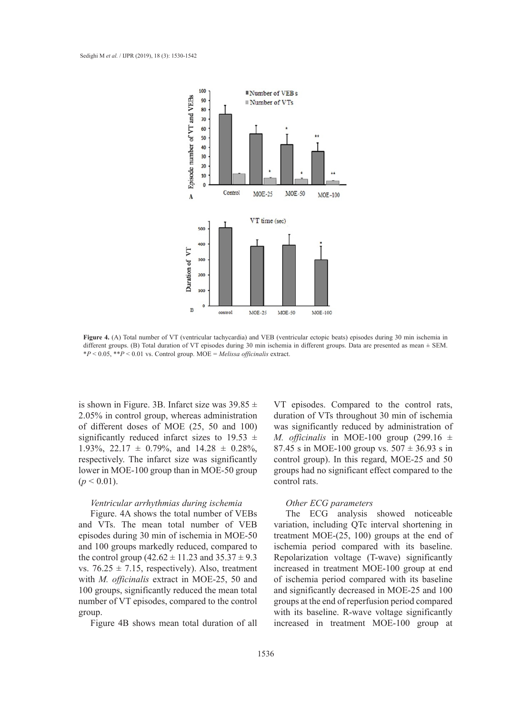

Figure 4. (Contribution 4. (A) Total number of VT (ventricular tachycardia) and VEB (ventricular ectopic beats) and VT (ventricular ectopic beats) and VT (ventricular ectopic beats) and VT (ventricular economical economics different groups. (B) Total duration of VT episodes during 30 min ischemia in different groups. Data are presented as mean ± SEM.<br>\* B + 0.05 \*\* B + 0.01 = 0.01 = 0.01 = 0.01 = 0.01 = 0.01 = 0.01 = 0.01 = 0.01 = 0.01 = 0.01 **Figure 4.** (A) Total number of VT (ventricular tachycardia) and VEB (ventricular ectopic beats) episodes during 30 min ischemia in \**P* < 0.05, \*\**P* < 0.01 vs. Control group. MOE = *Melissa officinalis* extract.

is shown in Figure. 3B. Infarct size was  $39.85 \pm$ 2.05% in control group, whereas administration of different doses of MOE (25, 50 and 100) significantly reduced infarct sizes to 19.53  $\pm$ 1.93%, 22.17  $\pm$  0.79%, and 14.28  $\pm$  0.28%, respectively. The infarct size was significantly lower in MOE-100 group than in MOE-50 group  $(p < 0.01)$ .

## *Ventricular arrhythmias during ischemia*

Figure. 4A shows the total number of VEBs and VTs. The mean total number of VEB episodes during 30 min of ischemia in MOE-50 and 100 groups markedly reduced, compared to the control group  $(42.62 \pm 11.23 \text{ and } 35.37 \pm 9.3)$ vs.  $76.25 \pm 7.15$ , respectively). Also, treatment with *M. officinalis* extract in MOE-25, 50 and 100 groups, significantly reduced the mean total number of VT episodes, compared to the control group.

Figure 4B shows mean total duration of all

VT episodes. Compared to the control rats, duration of VTs throughout 30 min of ischemia was significantly reduced by administration of *M. officinalis* in MOE-100 group (299.16  $\pm$ 87.45 s in MOE-100 group vs.  $507 \pm 36.93$  s in control group). In this regard, MOE-25 and 50 groups had no significant effect compared to the control rats.

### *Other ECG parameters*

The ECG analysis showed noticeable variation, including QTc interval shortening in treatment MOE-(25, 100) groups at the end of ischemia period compared with its baseline. Repolarization voltage (T-wave) significantly increased in treatment MOE-100 group at end of ischemia period compared with its baseline and significantly decreased in MOE-25 and 100 groups at the end of reperfusion period compared with its baseline. R-wave voltage significantly increased in treatment MOE-100 group at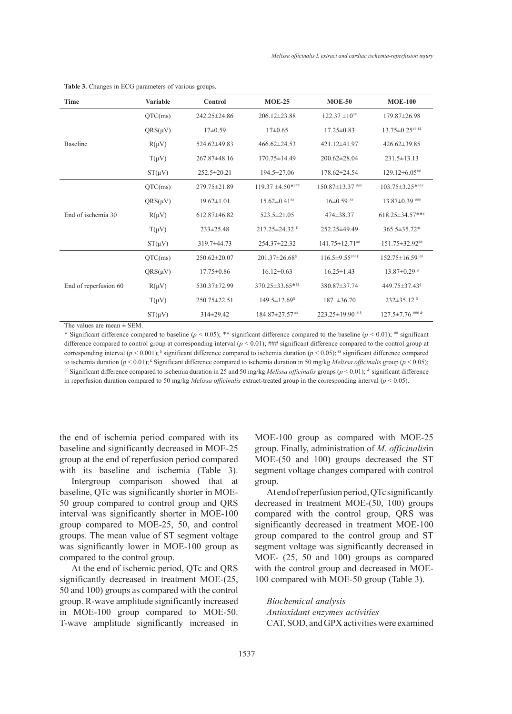| <b>Time</b>           | <b>Variable</b> | Control            | $MOE-25$                       | $MOE-50$               | <b>MOE-100</b>             |
|-----------------------|-----------------|--------------------|--------------------------------|------------------------|----------------------------|
|                       | QTC(ms)         | 242.25±24.86       | $206.12 \pm 23.88$             | $122.37 \pm 10^{#}$    | 179.87±26.98               |
|                       | $QRS(\mu V)$    | $17\pm0.59$        | $17\pm0.65$                    | $17.25 \pm 0.83$       | $13.75 \pm 0.25$ ## ££     |
| <b>Baseline</b>       | $R(\mu V)$      | 524.62±49.83       | $466.62 \pm 24.53$             | 421.12±41.97           | 426.62±39.85               |
|                       | $T(\mu V)$      | $267.87\pm48.16$   | $170.75 \pm 14.49$             | 200.62±28.04           | $231.5 \pm 13.13$          |
|                       | $ST(\mu V)$     | $252.5 \pm 20.21$  | 194.5±27.06                    | $178.62 \pm 24.54$     | $129.12\pm 6.05$ ##        |
|                       | QTC(ms)         | 279.75 ± 21.89     | $119.37 \pm 4.50$ *****        | $150.87 \pm 13.37$ ### | $103.75 \pm 3.25$ *****    |
|                       | $QRS(\mu V)$    | $19.62 \pm 1.01$   | $15.62 \pm 0.41$ ##            | $16\pm0.59$ ##         | $13.87 \pm 0.39$ ###       |
| End of ischemia 30    | $R(\mu V)$      | 612.87±46.82       | 523.5±21.05                    | 474±38.37              | $618.25 \pm 34.57$ ***     |
|                       | $T(\mu V)$      | $233 \pm 25.48$    | $217.25 \pm 24.32$ f           | 252.25±49.49           | $365.5 \pm 35.72*$         |
|                       | $ST(\mu V)$     | 319.7±44.73        | 254.37±22.32                   | $141.75 \pm 12.71$ ##  | 151.75±32.92##             |
|                       | QTC(ms)         | 250.62±20.07       | 201.37±26.68 <sup>\$</sup>     | $116.5 \pm 9.55$ ###£  | $152.75 \pm 16.59$ ##      |
|                       | $QRS(\mu V)$    | $17.75 \pm 0.86$   | $16.12 \pm 0.63$               | $16.25 \pm 1.43$       | $13.87 \pm 0.29$ #         |
| End of reperfusion 60 | $R(\mu V)$      | 530.37±72.99       | 370.25±33.65*\$\$              | 380.87±37.74           | 449.75±37.43 <sup>\$</sup> |
|                       | $T(\mu V)$      | $250.75 \pm 22.51$ | $149.5 \pm 12.69$ <sup>s</sup> | $187. \pm 36.70$       | $232 \pm 35.12$ s          |
|                       | $ST(\mu V)$     | 314±29.42          | 184.87±27.57##                 | 223.25±19.90 $*$ s     | $127.5 \pm 7.76$ ### &     |

**Table 3.** Changes in ECG parameters of various groups.

The values are mean  $\pm$  SEM.

\* Significant difference compared to baseline ( $p < 0.05$ ); \*\* significant difference compared to the baseline ( $p < 0.01$ ); ## significant difference compared to control group at corresponding interval  $(p < 0.01)$ ; ### significant difference compared to the control group at corresponding interval  $(p < 0.001)$ ;  $\frac{1}{3}$  significant difference compared to ischemia duration  $(p < 0.05)$ ;  $\frac{1}{3}$  significant difference compared to ischemia duration (*p* < 0.01); £ Significant difference compared to ischemia duration in 50 mg/kg *Melissa officinalis* group (*p* < 0.05);  $E$  Significant difference compared to ischemia duration in 25 and 50 mg/kg *Melissa officinalis* groups ( $p$  < 0.01);  $*$  significant difference in reperfusion duration compared to 50 mg/kg *Melissa officinalis* extract-treated group in the corresponding interval (*p* < 0.05).

the end of ischemia period compared with its baseline and significantly decreased in MOE-25 group at the end of reperfusion period compared with its baseline and ischemia (Table 3).

Intergroup comparison showed that at baseline, QTc was significantly shorter in MOE-50 group compared to control group and QRS interval was significantly shorter in MOE-100 group compared to MOE-25, 50, and control groups. The mean value of ST segment voltage was significantly lower in MOE-100 group as compared to the control group.

At the end of ischemic period, QTc and QRS significantly decreased in treatment MOE-(25, 50 and 100) groups as compared with the control group. R-wave amplitude significantly increased in MOE-100 group compared to MOE-50. T-wave amplitude significantly increased in MOE-100 group as compared with MOE-25 group. Finally, administration of *M. officinalis*in MOE-(50 and 100) groups decreased the ST segment voltage changes compared with control group.

At end of reperfusion period, QTc significantly decreased in treatment MOE-(50, 100) groups compared with the control group, QRS was significantly decreased in treatment MOE-100 group compared to the control group and ST segment voltage was significantly decreased in MOE- (25, 50 and 100) groups as compared with the control group and decreased in MOE-100 compared with MOE-50 group (Table 3).

*Biochemical analysis Antioxidant enzymes activities* CAT, SOD, and GPX activities were examined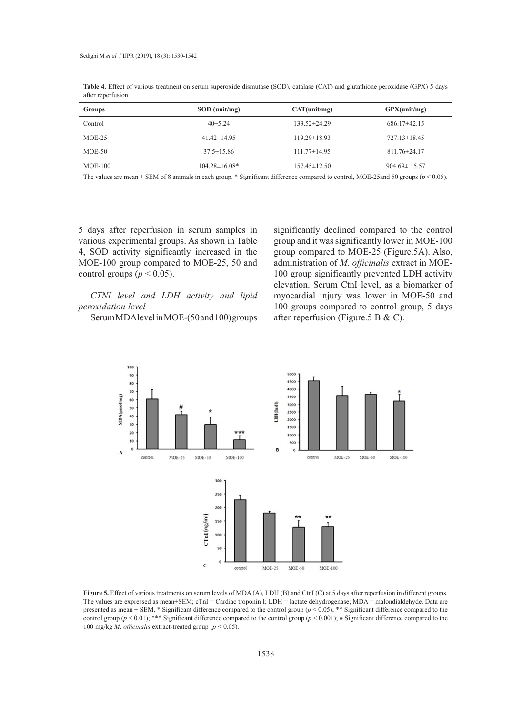| Groups    | $SOD$ (unit/mg)     | CAT(unit/mg)       | GPX(unit/mg)       |
|-----------|---------------------|--------------------|--------------------|
| Control   | $40\pm5.24$         | $133.52 \pm 24.29$ | $686.17\pm42.15$   |
| $MOE-25$  | $41.42 \pm 14.95$   | $119.29 \pm 18.93$ | $727.13 \pm 18.45$ |
| $MOE-50$  | $37.5 \pm 15.86$    | $111.77 \pm 14.95$ | $811.76 \pm 24.17$ |
| $MOE-100$ | $104.28 \pm 16.08*$ | $157.45 \pm 12.50$ | $904.69 \pm 15.57$ |

**Table 4.** Effect of various treatment on serum superoxide dismutase (SOD), catalase (CAT) and glutathione peroxidase (GPX) 5 days after reperfusion.

The values are mean ± SEM of 8 animals in each group. \* Significant difference compared to control, MOE-25and 50 groups (*p* < 0.05).  $\overline{c}$  and  $\overline{c}$ .

5 days after reperfusion in serum samples in or days after repertusion in serum samples in significantly deem.<br>
various experimental groups. As shown in Table group and it was significantly 4, SOD activity significantly increased in the MOE-100 group compared to MOE-25, 50 and **Groups SOD**  control groups ( $p < 0.05$ ).

*CTNI level and LDH activity and lipid peroxidation level*

Serum MDA level in MOE-(50 and 100) groups

after reperfusion in serum samples in significantly declined compared to the control group and it was significantly lower in MOE-100 group compared to MOE-25 (Figure.5A). Also, DE-25, 50 and administration of *M. officinalis* extract in MOE-100 group significantly prevented LDH activity elevation. Serum CtnI level, as a biomarker of LDH activity and lipid myocardial injury was lower in MOE-50 and 100 groups compared to control group, 5 days after reperfusion (Figure.5 B & C).



**Figure 5.** Effect of various treatments on serum levels of MDA (A), LDH (B) and CtnI (C) at 5 days after reperfusion in different groups. The values are expressed as mean±SEM; cTnI = Cardiac troponin I; LDH = lactate dehydrogenase; MDA = malondialdehyde. Data are presented as mean ± SEM. \* Significant difference compared to the control group (*p* < 0.05); \*\* Significant difference compared to the control group ( $p < 0.01$ ); \*\*\* Significant difference compared to the control group ( $p < 0.001$ ); # Significant difference compared to the 100 mg/kg *M*. *officinalis* extract-treated group (*p* < 0.05).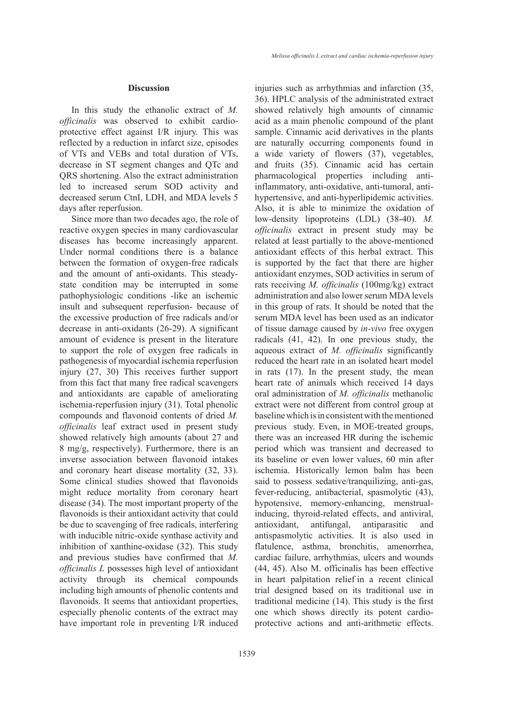#### **Discussion**

In this study the ethanolic extract of *M. officinalis* was observed to exhibit cardioprotective effect against I/R injury. This was reflected by a reduction in infarct size, episodes of VTs and VEBs and total duration of VTs, decrease in ST segment changes and QTc and QRS shortening. Also the extract administration led to increased serum SOD activity and decreased serum CtnI, LDH, and MDA levels 5 days after reperfusion.

Since more than two decades ago, the role of reactive oxygen species in many cardiovascular diseases has become increasingly apparent. Under normal conditions there is a balance between the formation of oxygen-free radicals and the amount of anti-oxidants. This steadystate condition may be interrupted in some pathophysiologic conditions -like an ischemic insult and subsequent reperfusion- because of the excessive production of free radicals and/or decrease in anti-oxidants (26-29). A significant amount of evidence is present in the literature to support the role of oxygen free radicals in pathogenesis of myocardial ischemia reperfusion injury (27, 30) This receives further support from this fact that many free radical scavengers and antioxidants are capable of ameliorating ischemia-reperfusion injury (31). Total phenolic compounds and flavonoid contents of dried *M. officinalis* leaf extract used in present study showed relatively high amounts (about 27 and 8 mg/g, respectively). Furthermore, there is an inverse association between flavonoid intakes and coronary heart disease mortality (32, 33). Some clinical studies showed that flavonoids might reduce mortality from coronary heart disease (34). The most important property of the flavonoids is their antioxidant activity that could be due to scavenging of free radicals, interfering with inducible nitric-oxide synthase activity and inhibition of xanthine-oxidase (32). This study and previous studies have confirmed that *M. officinalis L* possesses high level of antioxidant activity through its chemical compounds including high amounts of phenolic contents and flavonoids. It seems that antioxidant properties, especially phenolic contents of the extract may have important role in preventing I/R induced

injuries such as arrhythmias and infarction (35, 36). HPLC analysis of the administrated extract showed relatively high amounts of cinnamic acid as a main phenolic compound of the plant sample. Cinnamic acid derivatives in the plants are naturally occurring components found in a wide variety of flowers (37), vegetables, and fruits (35). Cinnamic acid has certain pharmacological properties including antiinflammatory, anti-oxidative, anti-tumoral, antihypertensive, and anti-hyperlipidemic activities. Also, it is able to minimize the oxidation of low-density lipoproteins (LDL) (38-40). *M. officinalis* extract in present study may be related at least partially to the above-mentioned antioxidant effects of this herbal extract. This is supported by the fact that there are higher antioxidant enzymes, SOD activities in serum of rats receiving *M. officinalis* (100mg/kg) extract administration and also lower serum MDA levels in this group of rats. It should be noted that the serum MDA level has been used as an indicator of tissue damage caused by *in-vivo* free oxygen radicals (41, 42). In one previous study, the aqueous extract of *M. officinalis* significantly reduced the heart rate in an isolated heart model in rats (17). In the present study, the mean heart rate of animals which received 14 days oral administration of *M. officinalis* methanolic extract were not different from control group at baseline which is in consistent with the mentioned previous study. Even, in MOE-treated groups, there was an increased HR during the ischemic period which was transient and decreased to its baseline or even lower values, 60 min after ischemia. Historically lemon balm has been said to possess sedative/tranquilizing, anti-gas, fever-reducing, antibacterial, spasmolytic (43), hypotensive, memory-enhancing, menstrualinducing, thyroid-related effects, and antiviral, antioxidant, antifungal, antiparasitic and antispasmolytic activities. It is also used in flatulence, asthma, bronchitis, amenorrhea, cardiac failure, arrhythmias, ulcers and wounds (44, 45). Also M. officinalis has been effective in heart palpitation relief in a recent clinical trial designed based on its traditional use in traditional medicine (14). This study is the first one which shows directly its potent cardioprotective actions and anti-arithmetic effects.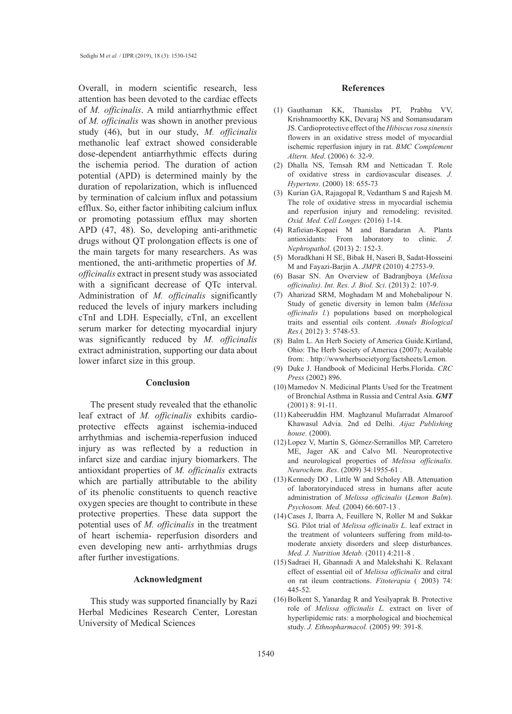Overall, in modern scientific research, less attention has been devoted to the cardiac effects of *M. officinalis*. A mild antiarrhythmic effect of *M. officinalis* was shown in another previous study (46), but in our study, *M. officinalis* methanolic leaf extract showed considerable dose-dependent antiarrhythmic effects during the ischemia period. The duration of action potential (APD) is determined mainly by the duration of repolarization, which is influenced by termination of calcium influx and potassium efflux. So, either factor inhibiting calcium influx or promoting potassium efflux may shorten APD (47, 48). So, developing anti-arithmetic drugs without QT prolongation effects is one of the main targets for many researchers. As was mentioned, the anti-arithmetic properties of *M. officinalis* extract in present study was associated with a significant decrease of QTc interval. Administration of *M. officinalis* significantly reduced the levels of injury markers including cTnI and LDH. Especially, cTnI, an excellent serum marker for detecting myocardial injury was significantly reduced by *M. officinalis* extract administration, supporting our data about lower infarct size in this group.

#### **Conclusion**

The present study revealed that the ethanolic leaf extract of *M. officinalis* exhibits cardioprotective effects against ischemia-induced arrhythmias and ischemia-reperfusion induced injury as was reflected by a reduction in infarct size and cardiac injury biomarkers. The antioxidant properties of *M. officinalis* extracts which are partially attributable to the ability of its phenolic constituents to quench reactive oxygen species are thought to contribute in these protective properties. These data support the potential uses of *M. officinalis* in the treatment of heart ischemia- reperfusion disorders and even developing new anti- arrhythmias drugs after further investigations.

## **Acknowledgment**

This study was supported financially by Razi Herbal Medicines Research Center, Lorestan University of Medical Sciences

#### **References**

- Gauthaman KK, Thanislas PT, Prabhu VV, (1) Krishnamoorthy KK, Devaraj NS and Somansudaram JS. Cardioprotective effect of the *Hibiscus rosa sinensis*  flowers in an oxidative stress model of myocardial ischemic reperfusion injury in rat. *BMC Complement Altern. Med*. (2006) 6: 32-9.
- (2) Dhalla NS, Temsah RM and Netticadan T. Role of oxidative stress in cardiovascular diseases. *J. Hypertens*. (2000) 18: 655-73
- (3) Kurian GA, Rajagopal R, Vedantham S and Rajesh M. The role of oxidative stress in myocardial ischemia and reperfusion injury and remodeling: revisited. *Oxid. Med. Cell Longev.* (2016) 1-14.
- Rafieian-Kopaei M and Baradaran A. Plants (4) antioxidants: From laboratory to clinic. *J. Nephropathol*. (2013) 2: 152-3.
- Moradkhani H SE, Bibak H, Naseri B, Sadat-Hosseini M and Fayazi-Barjin A. *JMPR* (2010) 4:2753-9. (5)
- Basar SN. An Overview of Badranjboya (*Melissa officinalis)*. *Int. Res. J. Biol. Sci*. (2013) 2: 107-9. (6)
- Aharizad SRM, Moghadam M and Mohebalipour N. Study of genetic diversity in lemon balm (*Melissa officinalis l.*) populations based on morphological traits and essential oils content. *Annals Biological Res*.( 2012) 3: 5748-53. (7)
- (8) Balm L. An Herb Society of America Guide.Kirtland, Ohio: The Herb Society of America (2007); Available from: . http://wwwherbsocietyorg/factsheets/Lemon.
- (9) Duke J. Handbook of Medicinal Herbs.Florida. *CRC Press* (2002) 896.
- (10) Mamedov N. Medicinal Plants Used for the Treatment of Bronchial Asthma in Russia and Central Asia. *GMT* (2001) 8: 91-11.
- (11) Kabeeruddin HM. Maghzanul Mufarradat Almaroof Khawasul Advia. 2nd ed Delhi. *Aijaz Publishing house.* (2000).
- Lopez V, Martín S, Gómez-Serranillos MP, Carretero (12) ME, Jager AK and Calvo MI. Neuroprotective and neurological properties of *Melissa officinalis. Neurochem. Res*. (2009) 34:1955-61 .
- $(13)$  Kennedy DO, Little W and Scholey AB. Attenuation of laboratoryinduced stress in humans after acute administration of *Melissa officinalis* (*Lemon Balm*). *Psychosom. Med.* (2004) 66:607-13 .
- (14) Cases J, Ibarra A, Feuillere N, Roller M and Sukkar SG. Pilot trial of *Melissa officinalis L*. leaf extract in the treatment of volunteers suffering from mild-tomoderate anxiety disorders and sleep disturbances. *Med. J. Nutrition Metab.* (2011) 4:211-8 .
- (15) Sadraei H, Ghannadi A and Malekshahi K. Relaxant effect of essential oil of *Melissa officinalis* and citral on rat ileum contractions. *Fitoterapia* ( 2003) 74: 445-52.
- (16) Bolkent S, Yanardag R and Yesilyaprak B. Protective role of *Melissa officinalis L.* extract on liver of hyperlipidemic rats: a morphological and biochemical study. *J. Ethnopharmacol.* (2005) 99: 391-8.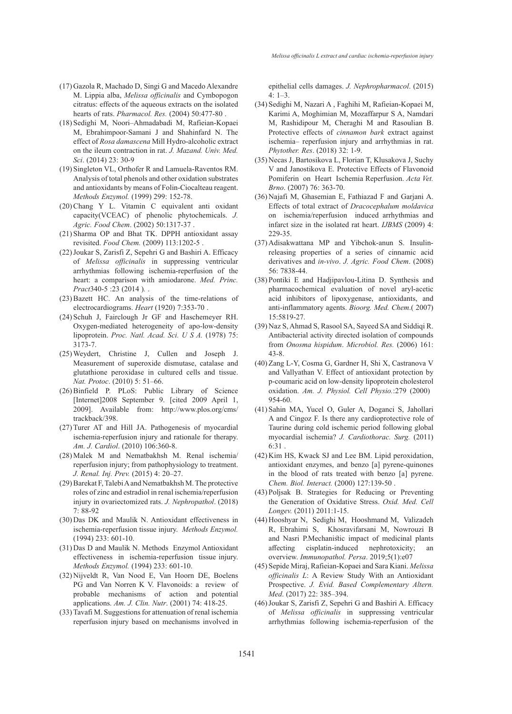- (17) Gazola R, Machado D, Singi G and Macedo Alexandre M. Lippia alba, *Melissa officinalis* and Cymbopogon citratus: effects of the aqueous extracts on the isolated hearts of rats. *Pharmacol. Res.* (2004) 50:477-80 .
- (18) Sedighi M, Noori-Ahmadabadi M, Rafieian-Kopaei M, Ebrahimpoor-Samani J and Shahinfard N. The effect of *Rosa damascena* Mill Hydro-alcoholic extract on the ileum contraction in rat. *J. Mazand. Univ. Med. Sci*. (2014) 23: 30-9
- (19) Singleton VL, Orthofer R and Lamuela-Raventos RM. Analysis of total phenols and other oxidation substrates and antioxidants by means of Folin-Ciocalteau reagent. *Methods Enzymol.* (1999) 299: 152-78.
- (20) Chang Y L. Vitamin C equivalent anti oxidant capacity(VCEAC) of phenolic phytochemicals. *J. Agric. Food Chem*. (2002) 50:1317-37 .
- (21) Sharma OP and Bhat TK. DPPH antioxidant assay revisited. *Food Chem.* (2009) 113:1202-5 .
- (22) Joukar S, Zarisfi Z, Sepehri G and Bashiri A. Efficacy of *Melissa officinalis* in suppressing ventricular arrhythmias following ischemia-reperfusion of the heart: a comparison with amiodarone. *Med. Princ. Pract*340-5 :23 (2014).
- $(23)$  Bazett HC. An analysis of the time-relations of electrocardiograms. *Heart* (1920) 7:353-70 .
- (24) Schuh J, Fairclough Jr GF and Haschemeyer RH. Oxygen-mediated heterogeneity of apo-low-density lipoprotein. *Proc. Natl. Acad. Sci. U S A.* (1978) 75: 3173-7.
- Weydert, Christine J, Cullen and Joseph J. (25) Measurement of superoxide dismutase, catalase and glutathione peroxidase in cultured cells and tissue. *Nat. Protoc*. (2010) 5: 51–66.
- (26) Binfield P. PLoS: Public Library of Science [Internet]2008 September 9. [cited 2009 April 1, 2009]. Available from: http://www.plos.org/cms/ trackback/398.
- (27) Turer AT and Hill JA. Pathogenesis of myocardial ischemia-reperfusion injury and rationale for therapy. *Am. J. Cardiol*. (2010) 106:360-8.
- (28) Malek M and Nematbakhsh M. Renal ischemia/ reperfusion injury; from pathophysiology to treatment. *J. Renal. Inj. Prev.* (2015) 4: 20–27.
- (29) Barekat F, Talebi A and Nematbakhsh M. The protective roles of zinc and estradiol in renal ischemia/reperfusion injury in ovariectomized rats. *J. Nephropathol*. (2018) 7: 88-92
- (30) Das DK and Maulik N. Antioxidant effectiveness in ischemia-reperfusion tissue injury. *Methods Enzymol.* (1994) 233: 601-10.
- (31) Das D and Maulik N. Methods Enzymol Antioxidant effectiveness in ischemia-reperfusion tissue injury. *Methods Enzymol.* (1994) 233: 601-10.
- (32) Nijveldt R, Van Nood E, Van Hoorn DE, Boelens PG and Van Norren K V. Flavonoids: a review of probable mechanisms of action and potential applications. *Am. J. Clin. Nutr*. (2001) 74: 418-25.
- (33) Tavafi M. Suggestions for attenuation of renal ischemia reperfusion injury based on mechanisms involved in

epithelial cells damages. *J. Nephropharmacol*. (2015)  $4: 1-3$ 

- (34) Sedighi M, Nazari A, Faghihi M, Rafieian-Kopaei M, Karimi A, Moghimian M, Mozaffarpur S A, Namdari M, Rashidipour M, Cheraghi M and Rasoulian B. Protective effects of *cinnamon bark* extract against ischemia– reperfusion injury and arrhythmias in rat. *Phytother. Res*. (2018) 32: 1-9.
- (35) Necas J, Bartosikova L, Florian T, Klusakova J, Suchy V and Janostikova E. Protective Effects of Flavonoid Pomiferin on Heart Ischemia Reperfusion. *Acta Vet. Brno*. (2007) 76: 363-70.
- (36) Najafi M, Ghasemian E, Fathiazad F and Garjani A. Effects of total extract of *Dracocephalum moldavica*  on ischemia/reperfusion induced arrhythmias and infarct size in the isolated rat heart. *IJBMS* (2009) 4: 229-35.
- (37) Adisakwattana MP and Yibchok-anun S. Insulinreleasing properties of a series of cinnamic acid derivatives and *in-vivo*. *J. Agric. Food Chem*. (2008) 56: 7838-44.
- (38) Pontiki E and Hadjipavlou-Litina D. Synthesis and pharmacochemical evaluation of novel aryl-acetic acid inhibitors of lipoxygenase, antioxidants, and anti-inflammatory agents. *Bioorg. Med. Chem*.( 2007) 15:5819-27.
- Naz S, Ahmad S, Rasool SA, Sayeed SA and Siddiqi R. (39) Antibacterial activity directed isolation of compounds from *Onosma hispidum*. *Microbiol. Res.* (2006) 161: 43-8.
- (40) Zang L-Y, Cosma G, Gardner H, Shi X, Castranova V and Vallyathan V. Effect of antioxidant protection by p-coumaric acid on low-density lipoprotein cholesterol oxidation. Am. J. Physiol. Cell Physio.:279 (2000) 954-60.
- (41) Sahin MA, Yucel O, Guler A, Doganci S, Jahollari A and Cingoz F. Is there any cardioprotective role of Taurine during cold ischemic period following global myocardial ischemia? *J. Cardiothorac. Surg.* (2011) 6:31 .
- (42) Kim HS, Kwack SJ and Lee BM. Lipid peroxidation, antioxidant enzymes, and benzo [a] pyrene-quinones in the blood of rats treated with benzo [a] pyrene. *Chem. Biol. Interact.* (2000) 127:139-50 .
- (43) Poljsak B. Strategies for Reducing or Preventing the Generation of Oxidative Stress. *Oxid. Med. Cell Longev.* (2011) 2011:1-15.
- (44) Hooshyar N, Sedighi M, Hooshmand M, Valizadeh R, Ebrahimi S, Khosravifarsani M, Nowrouzi B and Nasri P.Mechanistic impact of medicinal plants affecting cisplatin-induced nephrotoxicity; an overview. *Immunopathol. Persa*. 2019;5(1):e07
- (45) Sepide Miraj, Rafieian-Kopaei and Sara Kiani. *Melissa officinalis L*: A Review Study With an Antioxidant Prospective. *J. Evid. Based Complementary Altern. Med*. (2017) 22: 385–394.
- (46) Joukar S, Zarisfi Z, Sepehri G and Bashiri A. Efficacy of *Melissa officinalis* in suppressing ventricular arrhythmias following ischemia-reperfusion of the